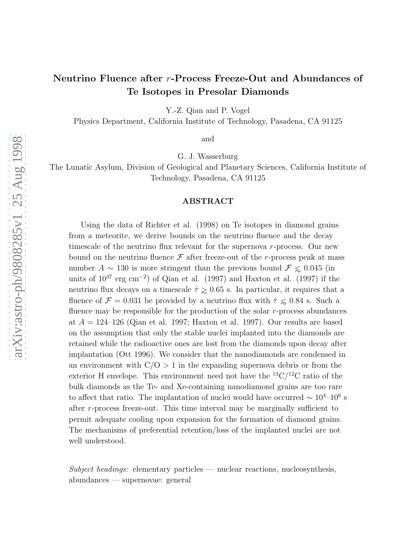# Neutrino Fluence after r-Process Freeze-Out and Abundances of Te Isotopes in Presolar Diamonds

Y.-Z. Qian and P. Vogel

Physics Department, California Institute of Technology, Pasadena, CA 91125

and

G. J. Wasserburg

The Lunatic Asylum, Division of Geological and Planetary Sciences, California Institute of Technology, Pasadena, CA 91125

# ABSTRACT

Using the data of Richter et al. (1998) on Te isotopes in diamond grains from a meteorite, we derive bounds on the neutrino fluence and the decay timescale of the neutrino flux relevant for the supernova r-process. Our new bound on the neutrino fluence  $\mathcal F$  after freeze-out of the r-process peak at mass number  $A \sim 130$  is more stringent than the previous bound  $\mathcal{F} \leq 0.045$  (in units of  $10^{37}$  erg cm<sup>-2</sup>) of Qian et al. (1997) and Haxton et al. (1997) if the neutrino flux decays on a timescale  $\hat{\tau} \geq 0.65$  s. In particular, it requires that a fluence of  $\mathcal{F} = 0.031$  be provided by a neutrino flux with  $\hat{\tau} \leq 0.84$  s. Such a fluence may be responsible for the production of the solar  $r$ -process abundances at  $A = 124-126$  (Qian et al. 1997; Haxton et al. 1997). Our results are based on the assumption that only the stable nuclei implanted into the diamonds are retained while the radioactive ones are lost from the diamonds upon decay after implantation (Ott 1996). We consider that the nanodiamonds are condensed in an environment with  $C/O > 1$  in the expanding supernova debris or from the exterior H envelope. This environment need not have the  $^{13}C/^{12}C$  ratio of the bulk diamonds as the Te- and Xe-containing nanodiamond grains are too rare to affect that ratio. The implantation of nuclei would have occurred  $\sim 10^{4}-10^{6}$  s after r-process freeze-out. This time interval may be marginally sufficient to permit adequate cooling upon expansion for the formation of diamond grains. The mechanisms of preferential retention/loss of the implanted nuclei are not well understood.

 $Subject$  headings: elementary particles — nuclear reactions, nucleosynthesis, abundances — supernovae: general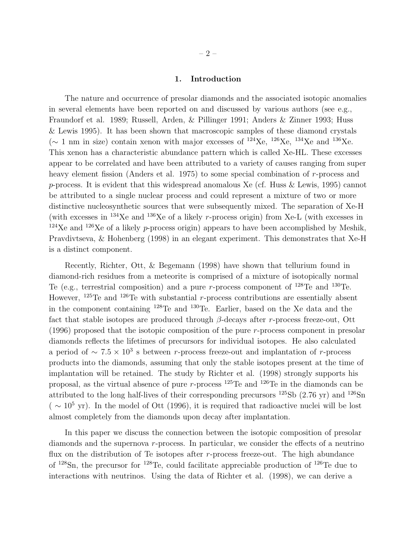## 1. Introduction

The nature and occurrence of presolar diamonds and the associated isotopic anomalies in several elements have been reported on and discussed by various authors (see e.g., Fraundorf et al. 1989; Russell, Arden, & Pillinger 1991; Anders & Zinner 1993; Huss & Lewis 1995). It has been shown that macroscopic samples of these diamond crystals ( $\sim$  1 nm in size) contain xenon with major excesses of <sup>124</sup>Xe, <sup>126</sup>Xe, <sup>134</sup>Xe and <sup>136</sup>Xe. This xenon has a characteristic abundance pattern which is called Xe-HL. These excesses appear to be correlated and have been attributed to a variety of causes ranging from super heavy element fission (Anders et al. 1975) to some special combination of r-process and p-process. It is evident that this widespread anomalous Xe (cf. Huss & Lewis, 1995) cannot be attributed to a single nuclear process and could represent a mixture of two or more distinctive nucleosynthetic sources that were subsequently mixed. The separation of Xe-H (with excesses in  $^{134}$ Xe and  $^{136}$ Xe of a likely r-process origin) from Xe-L (with excesses in  $124$ Xe and  $126$ Xe of a likely p-process origin) appears to have been accomplished by Meshik, Pravdivtseva, & Hohenberg (1998) in an elegant experiment. This demonstrates that Xe-H is a distinct component.

Recently, Richter, Ott, & Begemann (1998) have shown that tellurium found in diamond-rich residues from a meteorite is comprised of a mixture of isotopically normal Te (e.g., terrestrial composition) and a pure r-process component of  $^{128}$ Te and  $^{130}$ Te. However,  $^{125}$ Te and  $^{126}$ Te with substantial r-process contributions are essentially absent in the component containing <sup>128</sup>Te and <sup>130</sup>Te. Earlier, based on the Xe data and the fact that stable isotopes are produced through  $\beta$ -decays after r-process freeze-out, Ott (1996) proposed that the isotopic composition of the pure r-process component in presolar diamonds reflects the lifetimes of precursors for individual isotopes. He also calculated a period of  $\sim 7.5 \times 10^3$  s between r-process freeze-out and implantation of r-process products into the diamonds, assuming that only the stable isotopes present at the time of implantation will be retained. The study by Richter et al. (1998) strongly supports his proposal, as the virtual absence of pure r-process  $^{125}$ Te and  $^{126}$ Te in the diamonds can be attributed to the long half-lives of their corresponding precursors  $^{125}Sb$  (2.76 yr) and  $^{126}Sn$  $( \sim 10^5 \text{ yr})$ . In the model of Ott (1996), it is required that radioactive nuclei will be lost almost completely from the diamonds upon decay after implantation.

In this paper we discuss the connection between the isotopic composition of presolar diamonds and the supernova r-process. In particular, we consider the effects of a neutrino flux on the distribution of Te isotopes after  $r$ -process freeze-out. The high abundance of <sup>128</sup>Sn, the precursor for <sup>128</sup>Te, could facilitate appreciable production of <sup>126</sup>Te due to interactions with neutrinos. Using the data of Richter et al. (1998), we can derive a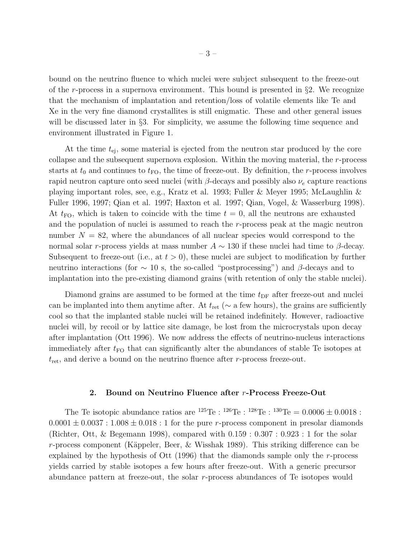bound on the neutrino fluence to which nuclei were subject subsequent to the freeze-out of the r-process in a supernova environment. This bound is presented in  $\S$ 2. We recognize that the mechanism of implantation and retention/loss of volatile elements like Te and Xe in the very fine diamond crystallites is still enigmatic. These and other general issues will be discussed later in §3. For simplicity, we assume the following time sequence and environment illustrated in Figure 1.

At the time  $t_{\text{ei}}$ , some material is ejected from the neutron star produced by the core collapse and the subsequent supernova explosion. Within the moving material, the r-process starts at  $t_0$  and continues to  $t_{\text{FO}}$ , the time of freeze-out. By definition, the r-process involves rapid neutron capture onto seed nuclei (with  $\beta$ -decays and possibly also  $\nu_e$  capture reactions playing important roles, see, e.g., Kratz et al. 1993; Fuller & Meyer 1995; McLaughlin & Fuller 1996, 1997; Qian et al. 1997; Haxton et al. 1997; Qian, Vogel, & Wasserburg 1998). At  $t_{\text{FO}}$ , which is taken to coincide with the time  $t = 0$ , all the neutrons are exhausted and the population of nuclei is assumed to reach the r-process peak at the magic neutron number  $N = 82$ , where the abundances of all nuclear species would correspond to the normal solar r-process yields at mass number  $A \sim 130$  if these nuclei had time to  $\beta$ -decay. Subsequent to freeze-out (i.e., at  $t > 0$ ), these nuclei are subject to modification by further neutrino interactions (for  $\sim$  10 s, the so-called "postprocessing") and β-decays and to implantation into the pre-existing diamond grains (with retention of only the stable nuclei).

Diamond grains are assumed to be formed at the time  $t_{\text{DF}}$  after freeze-out and nuclei can be implanted into them anytime after. At  $t_{\text{ret}}$  ( $\sim$  a few hours), the grains are sufficiently cool so that the implanted stable nuclei will be retained indefinitely. However, radioactive nuclei will, by recoil or by lattice site damage, be lost from the microcrystals upon decay after implantation (Ott 1996). We now address the effects of neutrino-nucleus interactions immediately after  $t_{\text{FO}}$  that can significantly alter the abundances of stable Te isotopes at  $t_{\text{ret}}$ , and derive a bound on the neutrino fluence after r-process freeze-out.

## 2. Bound on Neutrino Fluence after r-Process Freeze-Out

The Te isotopic abundance ratios are  $^{125}$ Te :  $^{126}$ Te :  $^{128}$ Te :  $^{130}$ Te = 0.0006  $\pm$  0.0018 :  $0.0001 \pm 0.0037 : 1.008 \pm 0.018 : 1$  for the pure r-process component in presolar diamonds (Richter, Ott, & Begemann 1998), compared with 0.159 : 0.307 : 0.923 : 1 for the solar r-process component (Käppeler, Beer,  $\&$  Wisshak 1989). This striking difference can be explained by the hypothesis of Ott (1996) that the diamonds sample only the r-process yields carried by stable isotopes a few hours after freeze-out. With a generic precursor abundance pattern at freeze-out, the solar r-process abundances of Te isotopes would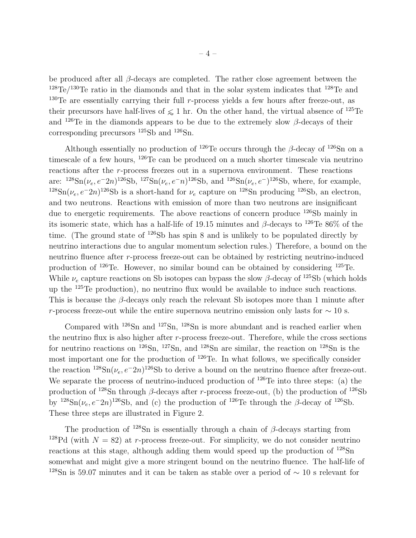be produced after all  $\beta$ -decays are completed. The rather close agreement between the  $128 \text{Te}/130 \text{Te}$  ratio in the diamonds and that in the solar system indicates that  $128 \text{Te}$  and  $130$ Te are essentially carrying their full r-process yields a few hours after freeze-out, as their precursors have half-lives of  $\leq 1$  hr. On the other hand, the virtual absence of <sup>125</sup>Te and  $126$ Te in the diamonds appears to be due to the extremely slow  $\beta$ -decays of their corresponding precursors <sup>125</sup>Sb and <sup>126</sup>Sn.

Although essentially no production of <sup>126</sup>Te occurs through the  $\beta$ -decay of <sup>126</sup>Sn on a timescale of a few hours, <sup>126</sup>Te can be produced on a much shorter timescale via neutrino reactions after the r-process freezes out in a supernova environment. These reactions are:  $^{128}Sn(\nu_e, e^{-2n})^{126}Sb$ ,  $^{127}Sn(\nu_e, e^{-n})^{126}Sb$ , and  $^{126}Sn(\nu_e, e^{-n})^{126}Sb$ , where, for example, <sup>128</sup>Sn( $\nu_e$ ,  $e^{-2n}$ )<sup>126</sup>Sb is a short-hand for  $\nu_e$  capture on <sup>128</sup>Sn producing <sup>126</sup>Sb, an electron, and two neutrons. Reactions with emission of more than two neutrons are insignificant due to energetic requirements. The above reactions of concern produce <sup>126</sup>Sb mainly in its isomeric state, which has a half-life of 19.15 minutes and  $\beta$ -decays to <sup>126</sup>Te 86% of the time. (The ground state of  $126Sb$  has spin 8 and is unlikely to be populated directly by neutrino interactions due to angular momentum selection rules.) Therefore, a bound on the neutrino fluence after r-process freeze-out can be obtained by restricting neutrino-induced production of <sup>126</sup>Te. However, no similar bound can be obtained by considering <sup>125</sup>Te. While  $\nu_e$  capture reactions on Sb isotopes can bypass the slow  $\beta$ -decay of <sup>125</sup>Sb (which holds up the  $125$ Te production), no neutrino flux would be available to induce such reactions. This is because the  $\beta$ -decays only reach the relevant Sb isotopes more than 1 minute after r-process freeze-out while the entire supernova neutrino emission only lasts for  $\sim 10$  s.

Compared with <sup>126</sup>Sn and <sup>127</sup>Sn, <sup>128</sup>Sn is more abundant and is reached earlier when the neutrino flux is also higher after  $r$ -process freeze-out. Therefore, while the cross sections for neutrino reactions on  $^{126}Sn$ ,  $^{127}Sn$ , and  $^{128}Sn$  are similar, the reaction on  $^{128}Sn$  is the most important one for the production of  $126$ Te. In what follows, we specifically consider the reaction <sup>128</sup>Sn( $\nu_e$ ,  $e^{-2n}$ )<sup>126</sup>Sb to derive a bound on the neutrino fluence after freeze-out. We separate the process of neutrino-induced production of <sup>126</sup>Te into three steps: (a) the production of <sup>128</sup>Sn through β-decays after r-process freeze-out, (b) the production of <sup>126</sup>Sb by <sup>128</sup>Sn( $\nu_e$ ,  $e^{-2n}$ )<sup>126</sup>Sb, and (c) the production of <sup>126</sup>Te through the  $\beta$ -decay of <sup>126</sup>Sb. These three steps are illustrated in Figure 2.

The production of  $128\text{Sn}$  is essentially through a chain of  $\beta$ -decays starting from <sup>128</sup>Pd (with  $N = 82$ ) at r-process freeze-out. For simplicity, we do not consider neutrino reactions at this stage, although adding them would speed up the production of  $^{128}Sn$ somewhat and might give a more stringent bound on the neutrino fluence. The half-life of <sup>128</sup>Sn is 59.07 minutes and it can be taken as stable over a period of  $\sim$  10 s relevant for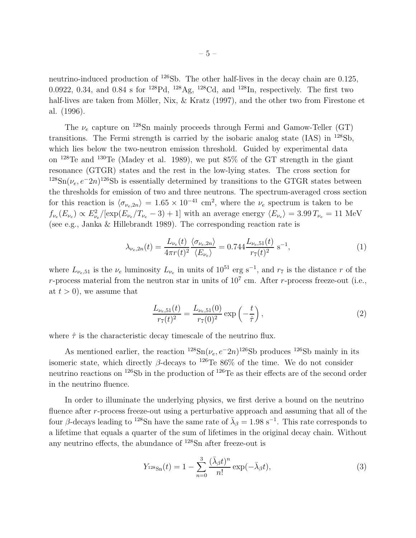<span id="page-4-0"></span>neutrino-induced production of  $^{126}Sb$ . The other half-lives in the decay chain are 0.125, 0.0922, 0.34, and 0.84 s for  $^{128}Pd$ ,  $^{128}Ag$ ,  $^{128}Cd$ , and  $^{128}In$ , respectively. The first two half-lives are taken from Möller, Nix,  $\&$  Kratz (1997), and the other two from Firestone et al. (1996).

The  $\nu_e$  capture on <sup>128</sup>Sn mainly proceeds through Fermi and Gamow-Teller (GT) transitions. The Fermi strength is carried by the isobaric analog state (IAS) in <sup>128</sup>Sb, which lies below the two-neutron emission threshold. Guided by experimental data on <sup>128</sup>Te and <sup>130</sup>Te (Madey et al. 1989), we put 85% of the GT strength in the giant resonance (GTGR) states and the rest in the low-lying states. The cross section for <sup>128</sup>Sn( $\nu_e$ , e<sup>-</sup>2n)<sup>126</sup>Sb is essentially determined by transitions to the GTGR states between the thresholds for emission of two and three neutrons. The spectrum-averaged cross section for this reaction is  $\langle \sigma_{\nu_e,2n} \rangle = 1.65 \times 10^{-41}$  cm<sup>2</sup>, where the  $\nu_e$  spectrum is taken to be  $f_{\nu_e}(E_{\nu_e}) \propto E_{\nu_e}^2/[\exp(E_{\nu_e}/T_{\nu_e}-3)+1]$  with an average energy  $\langle E_{\nu_e} \rangle = 3.99 T_{\nu_e} = 11$  MeV (see e.g., Janka & Hillebrandt 1989). The corresponding reaction rate is

$$
\lambda_{\nu_e,2n}(t) = \frac{L_{\nu_e}(t)}{4\pi r(t)^2} \frac{\langle \sigma_{\nu_e,2n} \rangle}{\langle E_{\nu_e} \rangle} = 0.744 \frac{L_{\nu_e,51}(t)}{r_7(t)^2} \,\mathrm{s}^{-1},\tag{1}
$$

where  $L_{\nu_e,51}$  is the  $\nu_e$  luminosity  $L_{\nu_e}$  in units of  $10^{51}$  erg s<sup>-1</sup>, and  $r_7$  is the distance r of the r-process material from the neutron star in units of  $10<sup>7</sup>$  cm. After r-process freeze-out (i.e., at  $t > 0$ , we assume that

$$
\frac{L_{\nu_e,51}(t)}{r_7(t)^2} = \frac{L_{\nu_e,51}(0)}{r_7(0)^2} \exp\left(-\frac{t}{\hat{\tau}}\right),\tag{2}
$$

where  $\hat{\tau}$  is the characteristic decay timescale of the neutrino flux.

As mentioned earlier, the reaction <sup>128</sup>Sn( $\nu_e$ ,  $e^{-2n}$ )<sup>126</sup>Sb produces <sup>126</sup>Sb mainly in its isomeric state, which directly  $\beta$ -decays to <sup>126</sup>Te 86% of the time. We do not consider neutrino reactions on <sup>126</sup>Sb in the production of <sup>126</sup>Te as their effects are of the second order in the neutrino fluence.

In order to illuminate the underlying physics, we first derive a bound on the neutrino fluence after r-process freeze-out using a perturbative approach and assuming that all of the four β-decays leading to <sup>128</sup>Sn have the same rate of  $\bar{\lambda}_{\beta} = 1.98 \text{ s}^{-1}$ . This rate corresponds to a lifetime that equals a quarter of the sum of lifetimes in the original decay chain. Without any neutrino effects, the abundance of <sup>128</sup>Sn after freeze-out is

$$
Y_{128\text{Sn}}(t) = 1 - \sum_{n=0}^{3} \frac{(\bar{\lambda}_{\beta}t)^n}{n!} \exp(-\bar{\lambda}_{\beta}t), \tag{3}
$$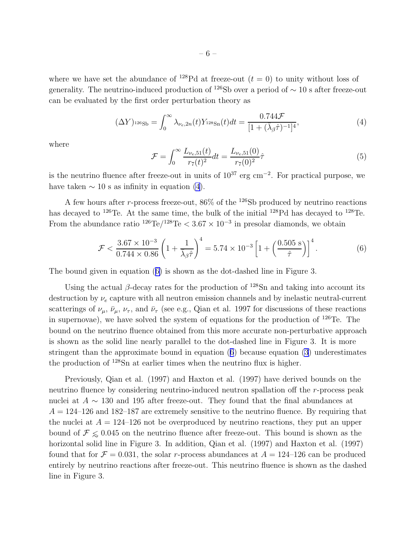<span id="page-5-0"></span>where we have set the abundance of <sup>128</sup>Pd at freeze-out  $(t = 0)$  to unity without loss of generality. The neutrino-induced production of <sup>126</sup>Sb over a period of  $\sim$  10 s after freeze-out can be evaluated by the first order perturbation theory as

$$
(\Delta Y)_{^{126}\text{Sb}} = \int_0^\infty \lambda_{\nu_e, 2n}(t) Y_{^{128}\text{Sn}}(t) dt = \frac{0.744\mathcal{F}}{[1 + (\bar{\lambda}_\beta \hat{\tau})^{-1}]^4},\tag{4}
$$

where

$$
\mathcal{F} = \int_0^\infty \frac{L_{\nu_e,51}(t)}{r_7(t)^2} dt = \frac{L_{\nu_e,51}(0)}{r_7(0)^2} \hat{\tau}
$$
\n(5)

is the neutrino fluence after freeze-out in units of  $10^{37}$  erg cm<sup>-2</sup>. For practical purpose, we have taken  $\sim$  10 s as infinity in equation (4).

A few hours after r-process freeze-out,  $86\%$  of the <sup>126</sup>Sb produced by neutrino reactions has decayed to <sup>126</sup>Te. At the same time, the bulk of the initial <sup>128</sup>Pd has decayed to <sup>128</sup>Te. From the abundance ratio  $126 \text{Te}/128 \text{Te} < 3.67 \times 10^{-3}$  in presolar diamonds, we obtain

$$
\mathcal{F} < \frac{3.67 \times 10^{-3}}{0.744 \times 0.86} \left( 1 + \frac{1}{\bar{\lambda}_{\beta} \hat{\tau}} \right)^4 = 5.74 \times 10^{-3} \left[ 1 + \left( \frac{0.505 \text{ s}}{\hat{\tau}} \right) \right]^4. \tag{6}
$$

The bound given in equation (6) is shown as the dot-dashed line in Figure 3.

Using the actual  $\beta$ -decay rates for the production of  $^{128}Sn$  and taking into account its destruction by  $\nu_e$  capture with all neutron emission channels and by inelastic neutral-current scatterings of  $\nu_\mu$ ,  $\bar{\nu}_\mu$ ,  $\nu_\tau$ , and  $\bar{\nu}_\tau$  (see e.g., Qian et al. 1997 for discussions of these reactions in supernovae), we have solved the system of equations for the production of <sup>126</sup>Te. The bound on the neutrino fluence obtained from this more accurate non-perturbative approach is shown as the solid line nearly parallel to the dot-dashed line in Figure 3. It is more stringent than the approximate bound in equation (6) because equation [\(3](#page-4-0)) underestimates the production of <sup>128</sup>Sn at earlier times when the neutrino flux is higher.

Previously, Qian et al. (1997) and Haxton et al. (1997) have derived bounds on the neutrino fluence by considering neutrino-induced neutron spallation off the r-process peak nuclei at  $A \sim 130$  and 195 after freeze-out. They found that the final abundances at  $A = 124$ –126 and 182–187 are extremely sensitive to the neutrino fluence. By requiring that the nuclei at  $A = 124-126$  not be overproduced by neutrino reactions, they put an upper bound of  $\mathcal{F} \leq 0.045$  on the neutrino fluence after freeze-out. This bound is shown as the horizontal solid line in Figure 3. In addition, Qian et al. (1997) and Haxton et al. (1997) found that for  $\mathcal{F} = 0.031$ , the solar r-process abundances at  $A = 124-126$  can be produced entirely by neutrino reactions after freeze-out. This neutrino fluence is shown as the dashed line in Figure 3.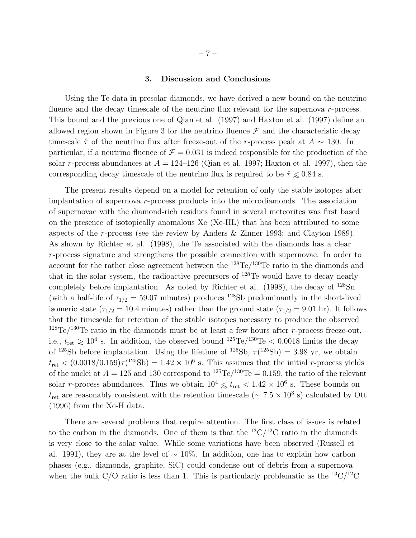#### 3. Discussion and Conclusions

Using the Te data in presolar diamonds, we have derived a new bound on the neutrino fluence and the decay timescale of the neutrino flux relevant for the supernova  $r$ -process. This bound and the previous one of Qian et al. (1997) and Haxton et al. (1997) define an allowed region shown in Figure 3 for the neutrino fluence  $\mathcal F$  and the characteristic decay timescale  $\hat{\tau}$  of the neutrino flux after freeze-out of the r-process peak at  $A \sim 130$ . In particular, if a neutrino fluence of  $\mathcal{F} = 0.031$  is indeed responsible for the production of the solar r-process abundances at  $A = 124-126$  (Qian et al. 1997; Haxton et al. 1997), then the corresponding decay timescale of the neutrino flux is required to be  $\hat{\tau} \leq 0.84$  s.

The present results depend on a model for retention of only the stable isotopes after implantation of supernova r-process products into the microdiamonds. The association of supernovae with the diamond-rich residues found in several meteorites was first based on the presence of isotopically anomalous Xe (Xe-HL) that has been attributed to some aspects of the r-process (see the review by Anders & Zinner 1993; and Clayton 1989). As shown by Richter et al. (1998), the Te associated with the diamonds has a clear r-process signature and strengthens the possible connection with supernovae. In order to account for the rather close agreement between the  $^{128}$ Te/ $^{130}$ Te ratio in the diamonds and that in the solar system, the radioactive precursors of <sup>128</sup>Te would have to decay nearly completely before implantation. As noted by Richter et al.  $(1998)$ , the decay of  $^{128}Sn$ (with a half-life of  $\tau_{1/2} = 59.07$  minutes) produces <sup>128</sup>Sb predominantly in the short-lived isomeric state ( $\tau_{1/2} = 10.4$  minutes) rather than the ground state ( $\tau_{1/2} = 9.01$  hr). It follows that the timescale for retention of the stable isotopes necessary to produce the observed <sup>128</sup>Te/<sup>130</sup>Te ratio in the diamonds must be at least a few hours after r-process freeze-out, i.e.,  $t_{\text{ret}} \geq 10^4$  s. In addition, the observed bound <sup>125</sup>Te/<sup>130</sup>Te < 0.0018 limits the decay of <sup>125</sup>Sb before implantation. Using the lifetime of <sup>125</sup>Sb,  $\tau$ <sup>(125</sup>Sb) = 3.98 yr, we obtain  $t_{\rm ret}$  <  $(0.0018/0.159)\tau(^{125}Sb) = 1.42 \times 10^6$  s. This assumes that the initial r-process yields of the nuclei at  $A = 125$  and 130 correspond to  $^{125}$ Te $/^{130}$ Te = 0.159, the ratio of the relevant solar r-process abundances. Thus we obtain  $10^4 \le t_{\text{ret}} < 1.42 \times 10^6$  s. These bounds on  $t_{\text{ret}}$  are reasonably consistent with the retention timescale ( $\sim 7.5 \times 10^3$  s) calculated by Ott (1996) from the Xe-H data.

There are several problems that require attention. The first class of issues is related to the carbon in the diamonds. One of them is that the  ${}^{13}C/{}^{12}C$  ratio in the diamonds is very close to the solar value. While some variations have been observed (Russell et al. 1991), they are at the level of ∼ 10%. In addition, one has to explain how carbon phases (e.g., diamonds, graphite, SiC) could condense out of debris from a supernova when the bulk C/O ratio is less than 1. This is particularly problematic as the  $^{13}C/^{12}C$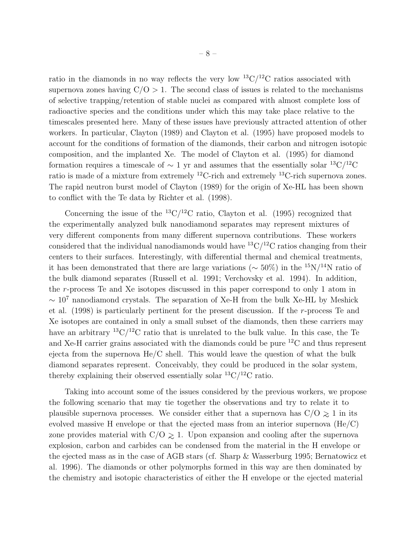ratio in the diamonds in no way reflects the very low  $\rm{^{13}C/^{12}C}$  ratios associated with supernova zones having  $C/O > 1$ . The second class of issues is related to the mechanisms of selective trapping/retention of stable nuclei as compared with almost complete loss of radioactive species and the conditions under which this may take place relative to the timescales presented here. Many of these issues have previously attracted attention of other workers. In particular, Clayton (1989) and Clayton et al. (1995) have proposed models to account for the conditions of formation of the diamonds, their carbon and nitrogen isotopic composition, and the implanted Xe. The model of Clayton et al. (1995) for diamond formation requires a timescale of  $\sim 1$  yr and assumes that the essentially solar <sup>13</sup>C/<sup>12</sup>C ratio is made of a mixture from extremely  ${}^{12}$ C-rich and extremely  ${}^{13}$ C-rich supernova zones. The rapid neutron burst model of Clayton (1989) for the origin of Xe-HL has been shown to conflict with the Te data by Richter et al. (1998).

Concerning the issue of the <sup>13</sup>C/<sup>12</sup>C ratio, Clayton et al. (1995) recognized that the experimentally analyzed bulk nanodiamond separates may represent mixtures of very different components from many different supernova contributions. These workers considered that the individual nanodiamonds would have  ${}^{13}C/{}^{12}C$  ratios changing from their centers to their surfaces. Interestingly, with differential thermal and chemical treatments, it has been demonstrated that there are large variations ( $\sim 50\%$ ) in the <sup>15</sup>N/<sup>14</sup>N ratio of the bulk diamond separates (Russell et al. 1991; Verchovsky et al. 1994). In addition, the r-process Te and Xe isotopes discussed in this paper correspond to only 1 atom in  $\sim 10^7$  nanodiamond crystals. The separation of Xe-H from the bulk Xe-HL by Meshick et al. (1998) is particularly pertinent for the present discussion. If the r-process Te and Xe isotopes are contained in only a small subset of the diamonds, then these carriers may have an arbitrary  ${}^{13}C/{}^{12}C$  ratio that is unrelated to the bulk value. In this case, the Te and Xe-H carrier grains associated with the diamonds could be pure <sup>12</sup>C and thus represent ejecta from the supernova  $He/C$  shell. This would leave the question of what the bulk diamond separates represent. Conceivably, they could be produced in the solar system, thereby explaining their observed essentially solar  ${}^{13}C/{}^{12}C$  ratio.

Taking into account some of the issues considered by the previous workers, we propose the following scenario that may tie together the observations and try to relate it to plausible supernova processes. We consider either that a supernova has  $C/O \ge 1$  in its evolved massive H envelope or that the ejected mass from an interior supernova (He/C) zone provides material with  $C/O \geq 1$ . Upon expansion and cooling after the supernova explosion, carbon and carbides can be condensed from the material in the H envelope or the ejected mass as in the case of AGB stars (cf. Sharp & Wasserburg 1995; Bernatowicz et al. 1996). The diamonds or other polymorphs formed in this way are then dominated by the chemistry and isotopic characteristics of either the H envelope or the ejected material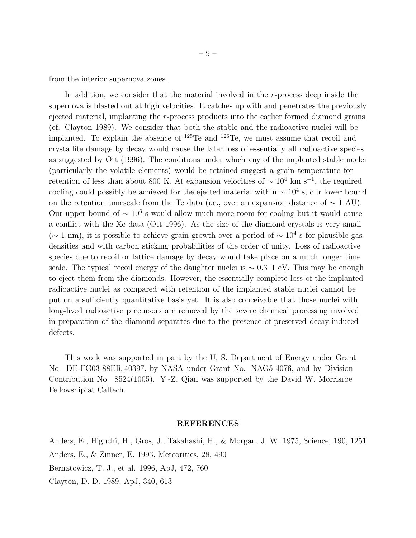from the interior supernova zones.

In addition, we consider that the material involved in the r-process deep inside the supernova is blasted out at high velocities. It catches up with and penetrates the previously ejected material, implanting the r-process products into the earlier formed diamond grains (cf. Clayton 1989). We consider that both the stable and the radioactive nuclei will be implanted. To explain the absence of  $125$ Te and  $126$ Te, we must assume that recoil and crystallite damage by decay would cause the later loss of essentially all radioactive species as suggested by Ott (1996). The conditions under which any of the implanted stable nuclei (particularly the volatile elements) would be retained suggest a grain temperature for retention of less than about 800 K. At expansion velocities of  $\sim 10^4$  km s<sup>-1</sup>, the required cooling could possibly be achieved for the ejected material within  $\sim 10^4$  s, our lower bound on the retention timescale from the Te data (i.e., over an expansion distance of  $\sim 1$  AU). Our upper bound of  $\sim 10^6$  s would allow much more room for cooling but it would cause a conflict with the Xe data (Ott 1996). As the size of the diamond crystals is very small ( $\sim$  1 nm), it is possible to achieve grain growth over a period of  $\sim$  10<sup>4</sup> s for plausible gas densities and with carbon sticking probabilities of the order of unity. Loss of radioactive species due to recoil or lattice damage by decay would take place on a much longer time scale. The typical recoil energy of the daughter nuclei is  $\sim 0.3-1$  eV. This may be enough to eject them from the diamonds. However, the essentially complete loss of the implanted radioactive nuclei as compared with retention of the implanted stable nuclei cannot be put on a sufficiently quantitative basis yet. It is also conceivable that those nuclei with long-lived radioactive precursors are removed by the severe chemical processing involved in preparation of the diamond separates due to the presence of preserved decay-induced defects.

This work was supported in part by the U. S. Department of Energy under Grant No. DE-FG03-88ER-40397, by NASA under Grant No. NAG5-4076, and by Division Contribution No. 8524(1005). Y.-Z. Qian was supported by the David W. Morrisroe Fellowship at Caltech.

#### REFERENCES

Anders, E., Higuchi, H., Gros, J., Takahashi, H., & Morgan, J. W. 1975, Science, 190, 1251 Anders, E., & Zinner, E. 1993, Meteoritics, 28, 490 Bernatowicz, T. J., et al. 1996, ApJ, 472, 760 Clayton, D. D. 1989, ApJ, 340, 613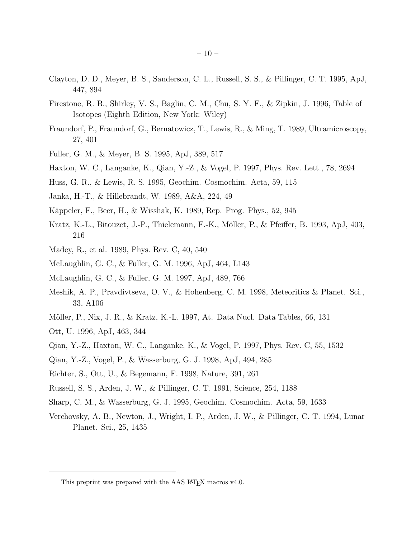- Clayton, D. D., Meyer, B. S., Sanderson, C. L., Russell, S. S., & Pillinger, C. T. 1995, ApJ, 447, 894
- Firestone, R. B., Shirley, V. S., Baglin, C. M., Chu, S. Y. F., & Zipkin, J. 1996, Table of Isotopes (Eighth Edition, New York: Wiley)
- Fraundorf, P., Fraundorf, G., Bernatowicz, T., Lewis, R., & Ming, T. 1989, Ultramicroscopy, 27, 401
- Fuller, G. M., & Meyer, B. S. 1995, ApJ, 389, 517
- Haxton, W. C., Langanke, K., Qian, Y.-Z., & Vogel, P. 1997, Phys. Rev. Lett., 78, 2694
- Huss, G. R., & Lewis, R. S. 1995, Geochim. Cosmochim. Acta, 59, 115
- Janka, H.-T., & Hillebrandt, W. 1989, A&A, 224, 49
- Käppeler, F., Beer, H., & Wisshak, K. 1989, Rep. Prog. Phys., 52, 945
- Kratz, K.-L., Bitouzet, J.-P., Thielemann, F.-K., Möller, P., & Pfeiffer, B. 1993, ApJ, 403, 216
- Madey, R., et al. 1989, Phys. Rev. C, 40, 540
- McLaughlin, G. C., & Fuller, G. M. 1996, ApJ, 464, L143
- McLaughlin, G. C., & Fuller, G. M. 1997, ApJ, 489, 766
- Meshik, A. P., Pravdivtseva, O. V., & Hohenberg, C. M. 1998, Meteoritics & Planet. Sci., 33, A106
- Möller, P., Nix, J. R., & Kratz, K.-L. 1997, At. Data Nucl. Data Tables, 66, 131
- Ott, U. 1996, ApJ, 463, 344
- Qian, Y.-Z., Haxton, W. C., Langanke, K., & Vogel, P. 1997, Phys. Rev. C, 55, 1532
- Qian, Y.-Z., Vogel, P., & Wasserburg, G. J. 1998, ApJ, 494, 285
- Richter, S., Ott, U., & Begemann, F. 1998, Nature, 391, 261
- Russell, S. S., Arden, J. W., & Pillinger, C. T. 1991, Science, 254, 1188
- Sharp, C. M., & Wasserburg, G. J. 1995, Geochim. Cosmochim. Acta, 59, 1633
- Verchovsky, A. B., Newton, J., Wright, I. P., Arden, J. W., & Pillinger, C. T. 1994, Lunar Planet. Sci., 25, 1435

This preprint was prepared with the AAS LAT<sub>EX</sub> macros v4.0.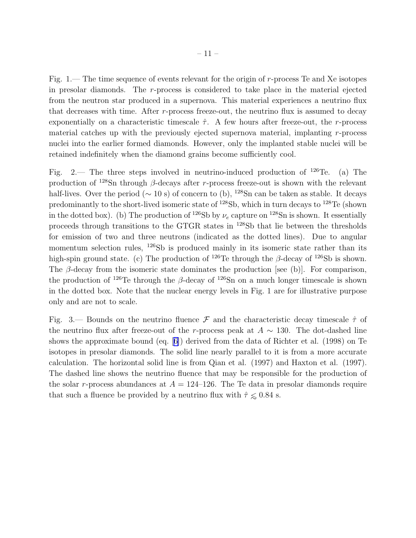Fig. 1.— The time sequence of events relevant for the origin of r-process Te and Xe isotopes in presolar diamonds. The  $r$ -process is considered to take place in the material ejected from the neutron star produced in a supernova. This material experiences a neutrino flux that decreases with time. After  $r$ -process freeze-out, the neutrino flux is assumed to decay exponentially on a characteristic timescale  $\hat{\tau}$ . A few hours after freeze-out, the r-process material catches up with the previously ejected supernova material, implanting r-process nuclei into the earlier formed diamonds. However, only the implanted stable nuclei will be retained indefinitely when the diamond grains become sufficiently cool.

Fig. 2.— The three steps involved in neutrino-induced production of  $^{126}$ Te. (a) The production of  $128$ Sn through β-decays after r-process freeze-out is shown with the relevant half-lives. Over the period ( $\sim$  10 s) of concern to (b), <sup>128</sup>Sn can be taken as stable. It decays predominantly to the short-lived isomeric state of <sup>128</sup>Sb, which in turn decays to <sup>128</sup>Te (shown in the dotted box). (b) The production of <sup>126</sup>Sb by  $\nu_e$  capture on <sup>128</sup>Sn is shown. It essentially proceeds through transitions to the GTGR states in <sup>128</sup>Sb that lie between the thresholds for emission of two and three neutrons (indicated as the dotted lines). Due to angular momentum selection rules, <sup>126</sup>Sb is produced mainly in its isomeric state rather than its high-spin ground state. (c) The production of <sup>126</sup>Te through the  $\beta$ -decay of <sup>126</sup>Sb is shown. The  $\beta$ -decay from the isomeric state dominates the production [see (b)]. For comparison, the production of <sup>126</sup>Te through the β-decay of <sup>126</sup>Sn on a much longer timescale is shown in the dotted box. Note that the nuclear energy levels in Fig. 1 are for illustrative purpose only and are not to scale.

Fig. 3.— Bounds on the neutrino fluence  $\mathcal F$  and the characteristic decay timescale  $\hat \tau$  of the neutrino flux after freeze-out of the r-process peak at  $A \sim 130$ . The dot-dashed line shows the approximate bound (eq.[[6\]](#page-5-0)) derived from the data of Richter et al. (1998) on Te isotopes in presolar diamonds. The solid line nearly parallel to it is from a more accurate calculation. The horizontal solid line is from Qian et al. (1997) and Haxton et al. (1997). The dashed line shows the neutrino fluence that may be responsible for the production of the solar r-process abundances at  $A = 124-126$ . The Te data in presolar diamonds require that such a fluence be provided by a neutrino flux with  $\hat{\tau} \leq 0.84$  s.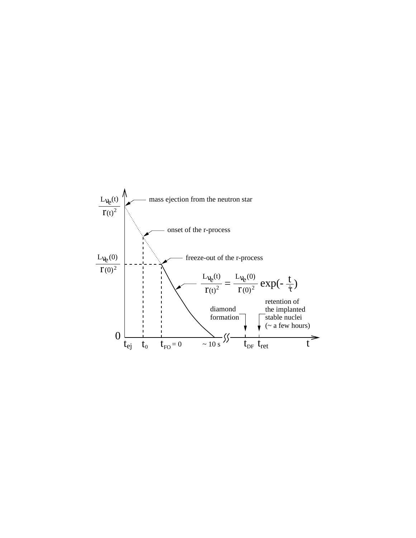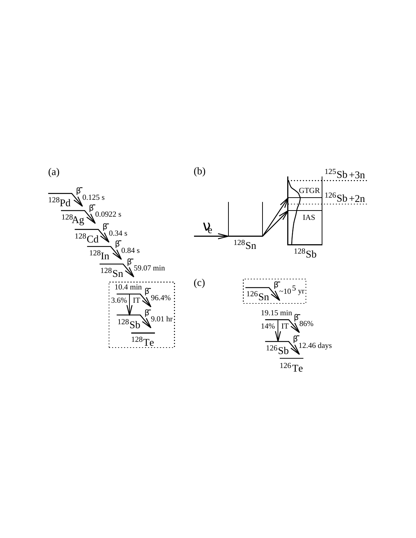